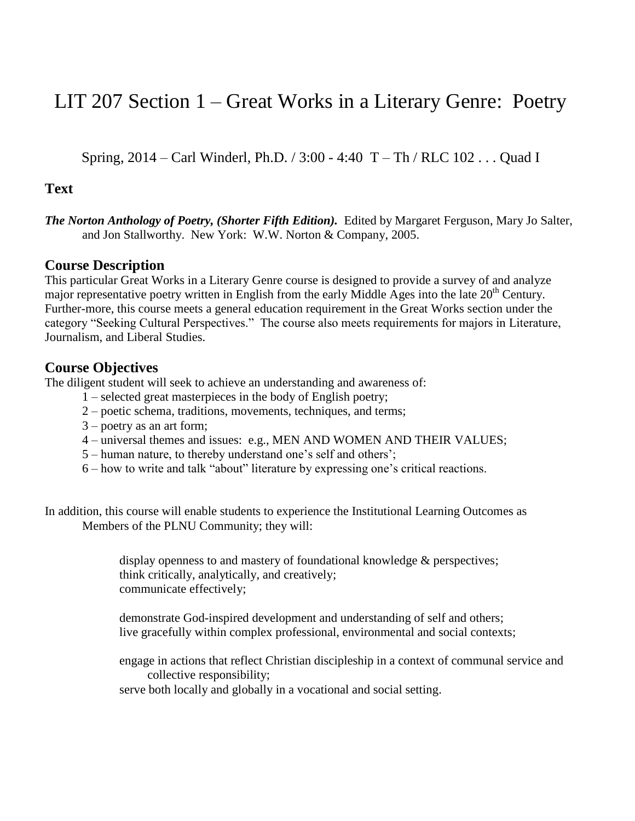# LIT 207 Section 1 – Great Works in a Literary Genre: Poetry

Spring, 2014 – Carl Winderl, Ph.D. / 3:00 - 4:40 T – Th / RLC 102 . . . Quad I

### **Text**

*The Norton Anthology of Poetry, (Shorter Fifth Edition).* Edited by Margaret Ferguson, Mary Jo Salter, and Jon Stallworthy. New York: W.W. Norton & Company, 2005.

#### **Course Description**

This particular Great Works in a Literary Genre course is designed to provide a survey of and analyze major representative poetry written in English from the early Middle Ages into the late  $20<sup>th</sup>$  Century. Further-more, this course meets a general education requirement in the Great Works section under the category "Seeking Cultural Perspectives." The course also meets requirements for majors in Literature, Journalism, and Liberal Studies.

## **Course Objectives**

The diligent student will seek to achieve an understanding and awareness of:

- 1 selected great masterpieces in the body of English poetry;
- 2 poetic schema, traditions, movements, techniques, and terms;
- 3 poetry as an art form;
- 4 universal themes and issues: e.g., MEN AND WOMEN AND THEIR VALUES;
- 5 human nature, to thereby understand one's self and others';
- 6 how to write and talk "about" literature by expressing one's critical reactions.

In addition, this course will enable students to experience the Institutional Learning Outcomes as Members of the PLNU Community; they will:

> display openness to and mastery of foundational knowledge & perspectives; think critically, analytically, and creatively; communicate effectively;

demonstrate God-inspired development and understanding of self and others; live gracefully within complex professional, environmental and social contexts;

engage in actions that reflect Christian discipleship in a context of communal service and collective responsibility;

serve both locally and globally in a vocational and social setting.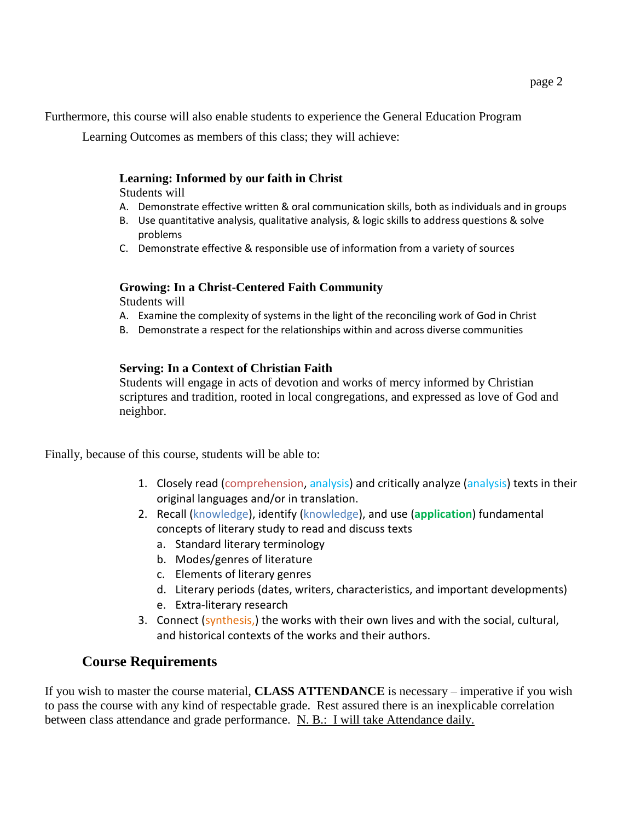Furthermore, this course will also enable students to experience the General Education Program

Learning Outcomes as members of this class; they will achieve:

#### **Learning: Informed by our faith in Christ**

Students will

- A. Demonstrate effective written & oral communication skills, both as individuals and in groups
- B. Use quantitative analysis, qualitative analysis, & logic skills to address questions & solve problems
- C. Demonstrate effective & responsible use of information from a variety of sources

#### **Growing: In a Christ-Centered Faith Community**

Students will

- A. Examine the complexity of systems in the light of the reconciling work of God in Christ
- B. Demonstrate a respect for the relationships within and across diverse communities

#### **Serving: In a Context of Christian Faith**

Students will engage in acts of devotion and works of mercy informed by Christian scriptures and tradition, rooted in local congregations, and expressed as love of God and neighbor.

Finally, because of this course, students will be able to:

- 1. Closely read (comprehension, analysis) and critically analyze (analysis) texts in their original languages and/or in translation.
- 2. Recall (knowledge), identify (knowledge), and use (**application**) fundamental concepts of literary study to read and discuss texts
	- a. Standard literary terminology
	- b. Modes/genres of literature
	- c. Elements of literary genres
	- d. Literary periods (dates, writers, characteristics, and important developments)
	- e. Extra-literary research
- 3. Connect (synthesis,) the works with their own lives and with the social, cultural, and historical contexts of the works and their authors.

# **Course Requirements**

If you wish to master the course material, **CLASS ATTENDANCE** is necessary – imperative if you wish to pass the course with any kind of respectable grade. Rest assured there is an inexplicable correlation between class attendance and grade performance. N. B.: I will take Attendance daily.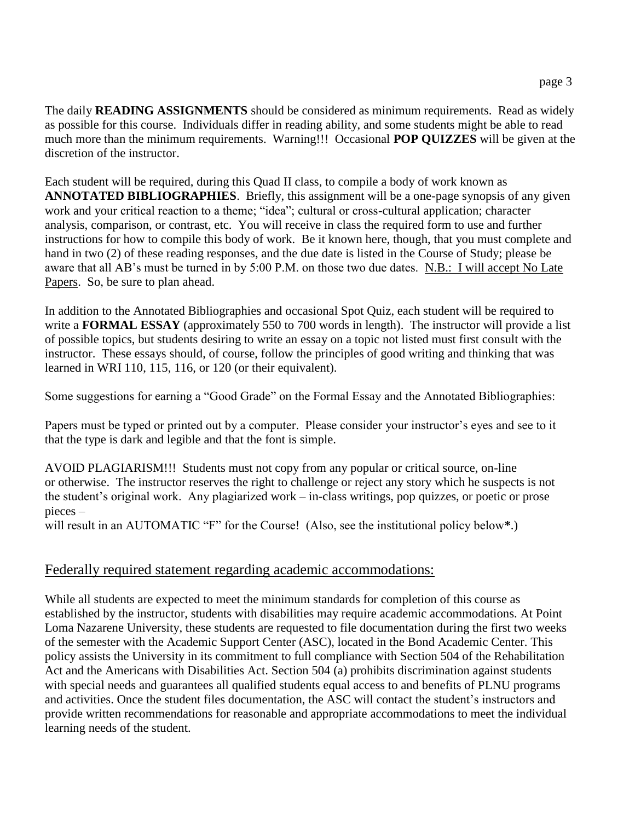The daily **READING ASSIGNMENTS** should be considered as minimum requirements. Read as widely as possible for this course. Individuals differ in reading ability, and some students might be able to read much more than the minimum requirements. Warning!!! Occasional **POP QUIZZES** will be given at the discretion of the instructor.

Each student will be required, during this Quad II class, to compile a body of work known as **ANNOTATED BIBLIOGRAPHIES**. Briefly, this assignment will be a one-page synopsis of any given work and your critical reaction to a theme; "idea"; cultural or cross-cultural application; character analysis, comparison, or contrast, etc. You will receive in class the required form to use and further instructions for how to compile this body of work. Be it known here, though, that you must complete and hand in two (2) of these reading responses, and the due date is listed in the Course of Study; please be aware that all AB's must be turned in by 5:00 P.M. on those two due dates. N.B.: I will accept No Late Papers. So, be sure to plan ahead.

In addition to the Annotated Bibliographies and occasional Spot Quiz, each student will be required to write a **FORMAL ESSAY** (approximately 550 to 700 words in length). The instructor will provide a list of possible topics, but students desiring to write an essay on a topic not listed must first consult with the instructor. These essays should, of course, follow the principles of good writing and thinking that was learned in WRI 110, 115, 116, or 120 (or their equivalent).

Some suggestions for earning a "Good Grade" on the Formal Essay and the Annotated Bibliographies:

Papers must be typed or printed out by a computer. Please consider your instructor's eyes and see to it that the type is dark and legible and that the font is simple.

AVOID PLAGIARISM!!! Students must not copy from any popular or critical source, on-line or otherwise. The instructor reserves the right to challenge or reject any story which he suspects is not the student's original work. Any plagiarized work – in-class writings, pop quizzes, or poetic or prose pieces –

will result in an AUTOMATIC "F" for the Course! (Also, see the institutional policy below**\***.)

# Federally required statement regarding academic accommodations:

While all students are expected to meet the minimum standards for completion of this course as established by the instructor, students with disabilities may require academic accommodations. At Point Loma Nazarene University, these students are requested to file documentation during the first two weeks of the semester with the Academic Support Center (ASC), located in the Bond Academic Center. This policy assists the University in its commitment to full compliance with Section 504 of the Rehabilitation Act and the Americans with Disabilities Act. Section 504 (a) prohibits discrimination against students with special needs and guarantees all qualified students equal access to and benefits of PLNU programs and activities. Once the student files documentation, the ASC will contact the student's instructors and provide written recommendations for reasonable and appropriate accommodations to meet the individual learning needs of the student.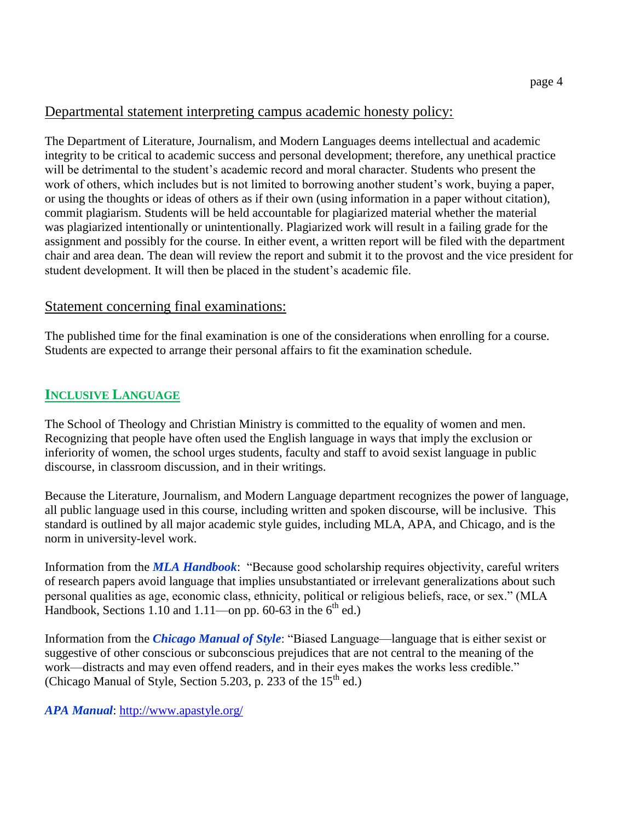# Departmental statement interpreting campus academic honesty policy:

The Department of Literature, Journalism, and Modern Languages deems intellectual and academic integrity to be critical to academic success and personal development; therefore, any unethical practice will be detrimental to the student's academic record and moral character. Students who present the work of others, which includes but is not limited to borrowing another student's work, buying a paper, or using the thoughts or ideas of others as if their own (using information in a paper without citation), commit plagiarism. Students will be held accountable for plagiarized material whether the material was plagiarized intentionally or unintentionally. Plagiarized work will result in a failing grade for the assignment and possibly for the course. In either event, a written report will be filed with the department chair and area dean. The dean will review the report and submit it to the provost and the vice president for student development. It will then be placed in the student's academic file.

# Statement concerning final examinations:

The published time for the final examination is one of the considerations when enrolling for a course. Students are expected to arrange their personal affairs to fit the examination schedule.

# **INCLUSIVE LANGUAGE**

The School of Theology and Christian Ministry is committed to the equality of women and men. Recognizing that people have often used the English language in ways that imply the exclusion or inferiority of women, the school urges students, faculty and staff to avoid sexist language in public discourse, in classroom discussion, and in their writings.

Because the Literature, Journalism, and Modern Language department recognizes the power of language, all public language used in this course, including written and spoken discourse, will be inclusive. This standard is outlined by all major academic style guides, including MLA, APA, and Chicago, and is the norm in university-level work.

Information from the *MLA Handbook*: "Because good scholarship requires objectivity, careful writers of research papers avoid language that implies unsubstantiated or irrelevant generalizations about such personal qualities as age, economic class, ethnicity, political or religious beliefs, race, or sex." (MLA Handbook, Sections 1.10 and 1.11—on pp. 60-63 in the  $6<sup>th</sup>$  ed.)

Information from the *Chicago Manual of Style*: "Biased Language—language that is either sexist or suggestive of other conscious or subconscious prejudices that are not central to the meaning of the work—distracts and may even offend readers, and in their eyes makes the works less credible." (Chicago Manual of Style, Section 5.203, p. 233 of the  $15<sup>th</sup>$  ed.)

*APA Manual*:<http://www.apastyle.org/>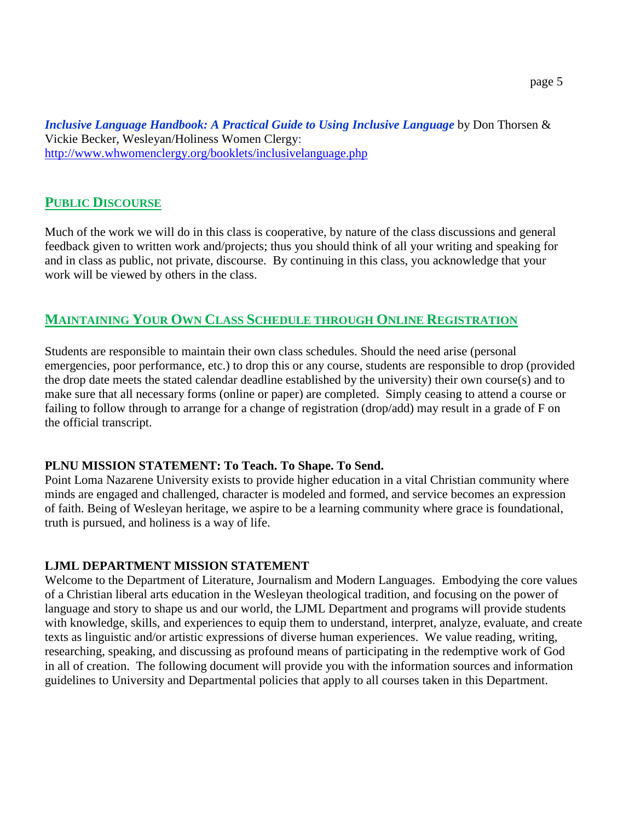*Inclusive Language Handbook: A Practical Guide to Using Inclusive Language* by Don Thorsen & Vickie Becker, Wesleyan/Holiness Women Clergy: <http://www.whwomenclergy.org/booklets/inclusivelanguage.php>

#### **PUBLIC DISCOURSE**

Much of the work we will do in this class is cooperative, by nature of the class discussions and general feedback given to written work and/projects; thus you should think of all your writing and speaking for and in class as public, not private, discourse. By continuing in this class, you acknowledge that your work will be viewed by others in the class.

#### **MAINTAINING YOUR OWN CLASS SCHEDULE THROUGH ONLINE REGISTRATION**

Students are responsible to maintain their own class schedules. Should the need arise (personal emergencies, poor performance, etc.) to drop this or any course, students are responsible to drop (provided the drop date meets the stated calendar deadline established by the university) their own course(s) and to make sure that all necessary forms (online or paper) are completed. Simply ceasing to attend a course or failing to follow through to arrange for a change of registration (drop/add) may result in a grade of F on the official transcript.

#### **PLNU MISSION STATEMENT: To Teach. To Shape. To Send.**

Point Loma Nazarene University exists to provide higher education in a vital Christian community where minds are engaged and challenged, character is modeled and formed, and service becomes an expression of faith. Being of Wesleyan heritage, we aspire to be a learning community where grace is foundational, truth is pursued, and holiness is a way of life.

#### **LJML DEPARTMENT MISSION STATEMENT**

Welcome to the Department of Literature, Journalism and Modern Languages. Embodying the core values of a Christian liberal arts education in the Wesleyan theological tradition, and focusing on the power of language and story to shape us and our world, the LJML Department and programs will provide students with knowledge, skills, and experiences to equip them to understand, interpret, analyze, evaluate, and create texts as linguistic and/or artistic expressions of diverse human experiences. We value reading, writing, researching, speaking, and discussing as profound means of participating in the redemptive work of God in all of creation. The following document will provide you with the information sources and information guidelines to University and Departmental policies that apply to all courses taken in this Department.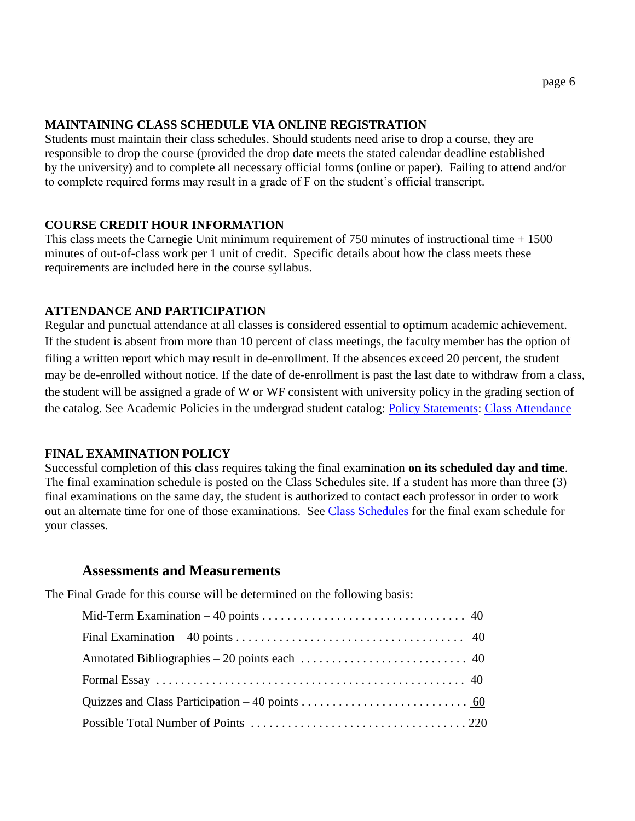#### **MAINTAINING CLASS SCHEDULE VIA ONLINE REGISTRATION**

Students must maintain their class schedules. Should students need arise to drop a course, they are responsible to drop the course (provided the drop date meets the stated calendar deadline established by the university) and to complete all necessary official forms (online or paper). Failing to attend and/or to complete required forms may result in a grade of F on the student's official transcript.

#### **COURSE CREDIT HOUR INFORMATION**

This class meets the Carnegie Unit minimum requirement of  $750$  minutes of instructional time  $+ 1500$ minutes of out-of-class work per 1 unit of credit. Specific details about how the class meets these requirements are included here in the course syllabus.

#### **ATTENDANCE AND PARTICIPATION**

Regular and punctual attendance at all classes is considered essential to optimum academic achievement. If the student is absent from more than 10 percent of class meetings, the faculty member has the option of filing a written report which may result in de-enrollment. If the absences exceed 20 percent, the student may be de-enrolled without notice. If the date of de-enrollment is past the last date to withdraw from a class, the student will be assigned a grade of W or WF consistent with university policy in the grading section of the catalog. See Academic Policies in the undergrad student catalog: [Policy Statements:](http://catalog.pointloma.edu/content.php?catoid=8&navoid=864) [Class Attendance](http://catalog.pointloma.edu/content.php?catoid=8&navoid=864#Class_Attendance)

#### **FINAL EXAMINATION POLICY**

Successful completion of this class requires taking the final examination **on its scheduled day and time**. The final examination schedule is posted on the Class Schedules site. If a student has more than three (3) final examinations on the same day, the student is authorized to contact each professor in order to work out an alternate time for one of those examinations. See [Class Schedules](http://www.pointloma.edu/experience/academics/class-schedules) for the final exam schedule for your classes.

#### **Assessments and Measurements**

The Final Grade for this course will be determined on the following basis: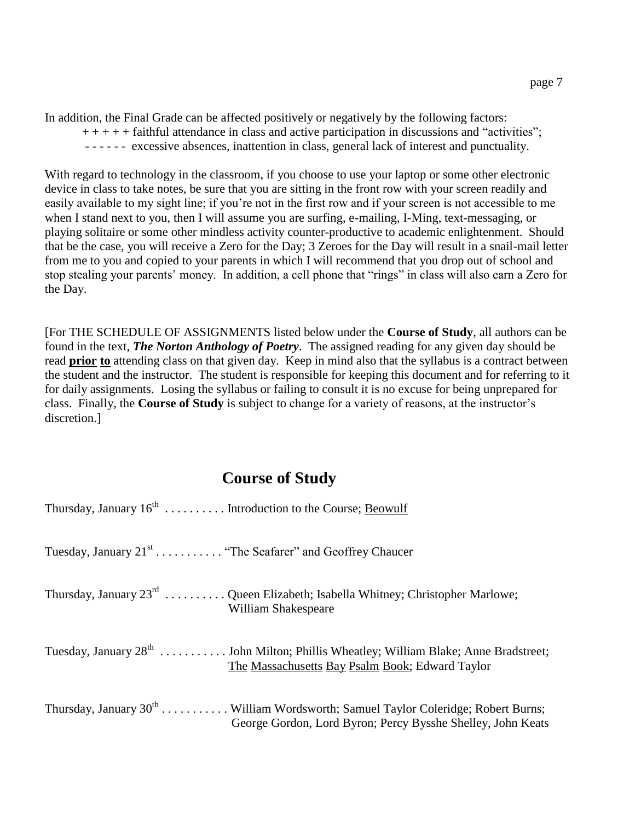In addition, the Final Grade can be affected positively or negatively by the following factors:

- $++++$  faithful attendance in class and active participation in discussions and "activities";
- - - - excessive absences, inattention in class, general lack of interest and punctuality.

With regard to technology in the classroom, if you choose to use your laptop or some other electronic device in class to take notes, be sure that you are sitting in the front row with your screen readily and easily available to my sight line; if you're not in the first row and if your screen is not accessible to me when I stand next to you, then I will assume you are surfing, e-mailing, I-Ming, text-messaging, or playing solitaire or some other mindless activity counter-productive to academic enlightenment. Should that be the case, you will receive a Zero for the Day; 3 Zeroes for the Day will result in a snail-mail letter from me to you and copied to your parents in which I will recommend that you drop out of school and stop stealing your parents' money. In addition, a cell phone that "rings" in class will also earn a Zero for the Day.

[For THE SCHEDULE OF ASSIGNMENTS listed below under the **Course of Study**, all authors can be found in the text, *The Norton Anthology of Poetry*. The assigned reading for any given day should be read **prior to** attending class on that given day. Keep in mind also that the syllabus is a contract between the student and the instructor. The student is responsible for keeping this document and for referring to it for daily assignments. Losing the syllabus or failing to consult it is no excuse for being unprepared for class. Finally, the **Course of Study** is subject to change for a variety of reasons, at the instructor's discretion.]

# **Course of Study**

| Thursday, January 16 <sup>th</sup> Introduction to the Course; <u>Beowulf</u>                                                                         |
|-------------------------------------------------------------------------------------------------------------------------------------------------------|
| Tuesday, January 21 <sup>st</sup> "The Seafarer" and Geoffrey Chaucer                                                                                 |
| Thursday, January $23^{rd}$ Queen Elizabeth; Isabella Whitney; Christopher Marlowe;<br>William Shakespeare                                            |
| Tuesday, January 28 <sup>th</sup> John Milton; Phillis Wheatley; William Blake; Anne Bradstreet;<br>The Massachusetts Bay Psalm Book; Edward Taylor   |
| Thursday, January $30^{th}$ William Wordsworth; Samuel Taylor Coleridge; Robert Burns;<br>George Gordon, Lord Byron; Percy Bysshe Shelley, John Keats |